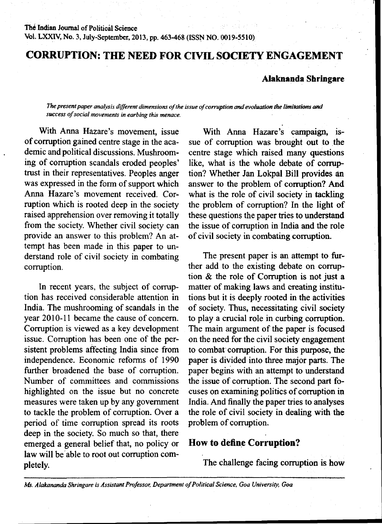# **CORRUPTION: THE NEED FOR CIVIL SOCIETY ENGAGEMENT**

### **Alaknanda Shringare**

#### The present paper analysis different dimensions of the issue of corruption and evoluation the limitations and *success of social movements in earbing this menace.*

With Anna Hazare's movement, issue of corruption gained centre stage in the academic and political discussions. Mushrooming of corruption scandals eroded peoples' trust in their representatives. Peoples anger was expressed in the form of support which Anna Hazare's movement received. Corruption which is rooted deep in the society raised apprehension over removing it totally from the society. Whether civil society can provide an answer to this problem? An attempt has been made in this paper to understand role of civil society in combating corruption.

In recent years, the subject of corruption has received considerable attention in India. The mushrooming of scandals in the year 2010-11 became the cause of concern. Corruption is viewed as a key development issue. Corruption has been one of the persistent problems affecting India since from independence. Economic reforms of 1990 further broadened the base of corruption. Number of committees and commissions highlighted on the issue but no concrete measures were taken up by any government to tackle the problem of corruption. Over a period of time corruption spread its roots deep in the society. So much so that, there emerged a general belief that, no policy or law will be able to root out corruption completely.

With Anna Hazare's campaign, issue of corruption was brought out to the centre stage which raised many questions like, what is the whole debate of corruption? Whether Jan Lokpal Bill provides an answer to the problem of corruption? And what is the role of civil society in tackling the problem of corruption? In the light of these questions the paper tries to understand the issue of corruption in India and the role of civil society in combating corruption.

The present paper is an attempt to further add to the existing debate on corruption & the role of Corruption is not just a matter of making laws and creating institutions but it is deeply rooted in the activities of society. Thus, necessitating civil society to play a crucial role in curbing corruption. The main argument of the paper is focused on the need for the civil society engagement to combat corruption. For this purpose, the paper is divided into three major parts. The paper begins with an attempt to understand the issue of corruption. The second part focuses on examining politics of corruption in India. And finally the paper tries to analyses the role of civil society in dealing with the problem of corruption.

### **How to define Corruption?**

The challenge facing corruption is how

*Ms. Alakananda Shringare is Assistant Professor, Department of Political Science, Goa University, Goa*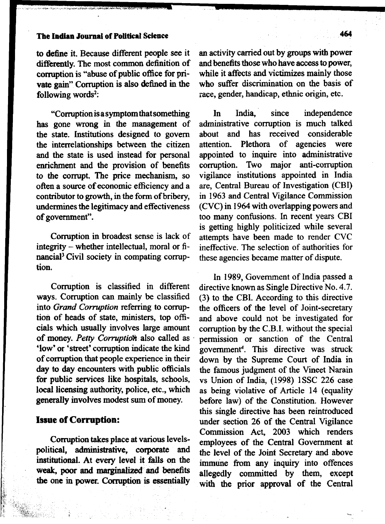# **The Indian Journal of Political Science 464**

to define it. Because different people see it differently. The most common definition of corruption is "abuse of public office for private gain" Corruption is also defined in the following words<sup>2</sup>:

"Corruption is a symptom that something has gone wrong in the management of the state. Institutions designed to govern the interrelationships between the citizen and the state is used instead for personal enrichment and the provision of benefits to the corrupt. The price mechanism, so often a source of economic efficiency and a contributor to growth, in the form of bribery, undermines the legitimacy and effectiveness of government".

Corruption in broadest sense is lack of integrity - whether intellectual, moral or financial<sup>3</sup> Civil society in compating corruption.

Corruption is classified in different ways. Corruption can mainly be classified into *Grand Corruption* referring to corruption of heads of state, ministers, top officials which usually involves large amount of money. *Petty Corruption also* called as 'low' or 'street' corruption indicate the kind of corruption that people experience in their day to day encounters with public officials for public services like hospitals, schools, local licensing authority, police, etc., which generally involves modest sum of money.

### **Issue of Corruption:**

Corruption takes place at various levelspolitical, administrative, corporate and institutional. At every level it falls on the weak, poor and marginalized and benefits the one in power. Corruption is essentially an activity carried out by groups with power and benefits those who have access to power, while it affects and victimizes mainly those who suffer discrimination on the basis of race, gender, handicap, ethnic origin, etc.

In India, since independence administrative corruption is much talked about and has received considerable attention. Plethora of agencies were appointed to inquire into administrative corruption. Two major anti-corruption vigilance institutions appointed in India are, Central Bureau of Investigation (CBI) in 1963 and Central Vigilance Commission (CVC) in 1964 with overlapping powers and too many confusions. In recent years CBI is getting highly politicized while several attempts have been made to render CVC ineffective. The selection of authorities for these agencies became matter of dispute.

In 1989, Government of India passed a directive known as Single Directive No. 4.7. (3) to the CBI. According to this directive the officers of the level of Joint-secretary and above could not be investigated for corruption by the C.B.I. without the special permission or sanction of the Central government4. This directive was struck down by the Supreme Court of India in the famous judgment of the Vineet Narain vs Union of India, (1998) 1SSC 226 case as being violative of Article 14 (equality before law) of the Constitution. However this single directive has been reintroduced under section 26 of the Central Vigilance Commission Act, 2003 which renders employees of the Central Government at the level of the Joint Secretary and above immune from any inquiry into offences allegedly committed by them, except with the prior approval of the Central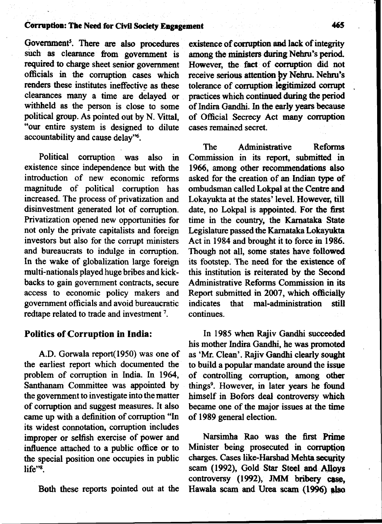### **Corruption: The Need for Civil Society Engagement 465**

Government<sup>5</sup>. There are also procedures such as clearance from government is required to charge sheet senior government officials in the corruption cases which renders these institutes ineffective as these clearances many a time are delayed or withheld as the person is close to some political group. As pointed out by N. Vittal, "our entire system is designed to dilute accountability and cause delay"6.

Political corruption was also in existence since independence but with the introduction of new economic reforms magnitude of political corruption has increased. The process of privatization and disinvestment generated lot of corruption. Privatization opened new opportunities for not only the private capitalists and foreign investors but also for the corrupt ministers and bureaucrats to indulge in corruption. In the wake of globalization large foreign multi-nationals played huge bribes and kickbacks to gain government contracts, secure access to economic policy makers and government officials and avoid bureaucratic redtape related to trade and investment<sup>7</sup>.

## **Politics of Corruption in India:**

A.D. Gorwala report(1950) was one of the earliest report which documented the problem of corruption in India. In 1964, Santhanam Committee was appointed by the government to investigate into the matter of corruption and suggest measures. It also came up with a definition of corruption "In its widest connotation, corruption includes improper or selfish exercise of power and influence attached to a public office or to the special position one occupies in public life"<sup>8</sup>.

Both these reports pointed out at the

existence of corruption and lack of integrity among the ministers during Nehru's period. However, the fact of corruption did not receive serious attention by Nehru. Nehru's tolerance of corruption legitimized corrupt practices which continued during the period of Indira Gandhi. In the early years because of Official Secrecy Act many corruption cases remained secret.

The Administrative Reforms Commission in its report, submitted in 1966, among other recommendations also asked for the creation of an Indian type of ombudsman called Lokpal at the Centre and Lokayukta at the states' level. However, till date, no Lokpal is appointed. For the first time in the country, the Karnataka State Legislature passed the Karnataka Lokayukta Act in 1984 and brought it to force in 1986. Though not all, some states have followed its footstep. The need for the existence of this institution is reiterated by the Second Administrative Reforms Commission in its Report submitted in 2007, which officially<br>indicates that mal-administration still mal-administration still continues.

In 1985 when Rajiv Gandhi succeeded his mother Indira Gandhi, he was promoted as 'Mr. Clean'. Rajiv Gandhi clearly sought to build a popular mandate around the issue of controlling corruption, among other things9. However, in later years he found himself in Bofors deal controversy which became one of the major issues at the time of 1989 general election.

Narsimha Rao was the first Prime Minister being prosecuted in corruption charges. Cases like-Harshad Mehta security scam (1992), Gold Star Steel and Alloys controversy (1992), JMM bribery case, Hawala scam and Urea scam (1996) also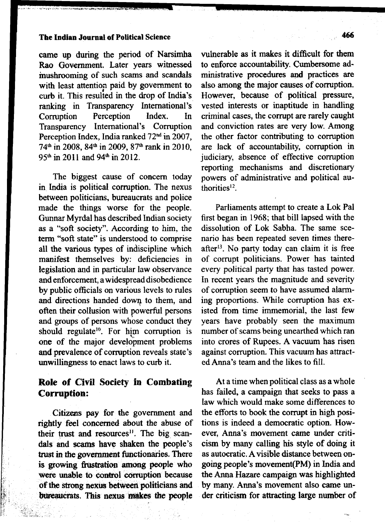# **The Indian Journal of Political Science 466**

came up during the period of Narsimha Rao Government. Later years witnessed mushrooming of such scams and scandals with least attention paid by government to curb it. This resulted in the drop of India's ranking in Transparency International's<br>Corruption Perception Index. In Corruption Perception Index. In Transparency International's Corruption Perception Index, India ranked 72<sup>nd</sup> in 2007, 74<sup>th</sup> in 2008, 84<sup>th</sup> in 2009, 87<sup>th</sup> rank in 2010, 95<sup>th</sup> in 2011 and 94<sup>th</sup> in 2012.

The biggest cause of concern today in India is political corruption. The nexus between politicians, bureaucrats and police made the things worse for the people. Gunnar Myrdal has described Indian society as a "soft society". According to him, the term "soft state" is understood to comprise all the various types of indiscipline which manifest themselves by: deficiencies in legislation and in particular law observance and enforcement, a widespread disobedience by public officials on various levels to rules and directions handed down to them, and often their collusion with powerful persons and groups of persons whose conduct they should regulate<sup>10</sup>. For him corruption is one of the major development problems and prevalence of corruption reveals state's unwillingness to enact laws to curb it.

# **Role of Civil Society in Combating Corruption:**

Citizens pay for the government and rightly feel concerned about the abuse of their trust and resources<sup>11</sup>. The big scandals and scams have shaken the people's trust in the government functionaries. There is growing frustration among people who were unable to control corruption because of the strong nexus between politicians and bureaucrats. This nexus **makes** the people

vulnerable as it makes it difficult for them to enforce accountability. Cumbersome administrative procedures and practices are also among the major causes of corruption. However, because of political pressure, vested interests or inaptitude in handling criminal cases, the corrupt are rarely caught and conviction rates are very low. Among the other factor contributing to corruption are lack of accountability, corruption in judiciary, absence of effective corruption reporting mechanisms and discretionary powers of administrative and political authorities12.

Parliaments attempt to create a Lok Pal first began in 1968; that bill lapsed with the dissolution of Lok Sabha. The same scenario has been repeated seven times thereafter<sup>13</sup>. No party today can claim it is free of corrupt politicians. Power has tainted every political party that has tasted power. In recent years the magnitude and severity of corruption seem to have assumed alarming proportions. While corruption has existed from time immemorial, the last few years have probably seen the maximum number of scams being unearthed which ran into crores of Rupees. A vacuum has risen against corruption. This vacuum has attracted Anna's team and the likes to fill.

At a time when political class as a whole has failed, a campaign that seeks to pass a law which would make some differences to the efforts to book the corrupt in high positions is indeed a democratic option. However, Anna's movement came under criticism by many calling his style of doing it as autocratic. A visible distance between ongoing people's movement(PM) in India and the Anna Hazare campaign was highlighted by many. Anna's movement also came under criticism for attracting large number of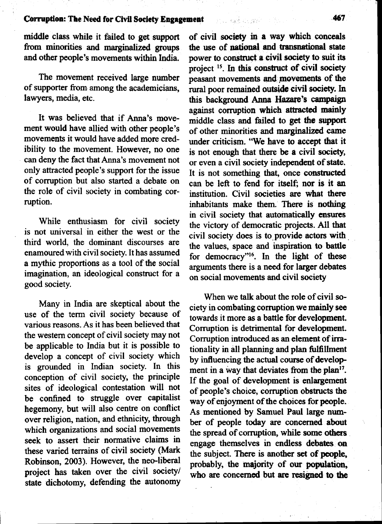middle class while it failed to get support from minorities and marginalized groups and other people's movements within India.

The movement received large number of supporter from among the academicians, lawyers, media, etc.

It was believed that if Anna's movement would have allied with other people's movements it would have added more credibility to the movement. However, no one can deny the fact that Anna's movement not only attracted people's support for the issue of corruption but also started a debate on the role of civil society in combating corruption.

While enthusiasm for civil society is not universal in either the west or the third world, the dominant discourses are enamoured with civil society. It has assumed a mythic proportions as a tool of the social imagination, an ideological construct for a good society.

Many in India are skeptical about the use of the term civil society because of various reasons. As it has been believed that the western concept of civil society may not be applicable to India but it is possible to develop a concept of civil society which is grounded in Indian society. In this conception of civil society, the principle sites of ideological contestation will not be confined to struggle over capitalist hegemony, but will also centre on conflict over religion, nation, and ethnicity, through which organizations and social movements seek to assert their normative claims in these varied terrains of civil society (Mark Robinson, 2003). However, the neo-liberal project has taken over the civil society/ state dichotomy, defending the autonomy of civil society in a way which conceals the use of national and transnational state power to construct a civil society to suit its project<sup>15</sup>. In this construct of civil society peasant movements and movements of die rural poor remained outside civil society. In this background Anna Hazare's campaign against corruption which attracted mainly middle class and failed to get the support of other minorities and marginalized came under criticism. "We have to accept that it is not enough that there be a civil society, or even a civil society independent of state. It is not something that, once constructed can be left to fend for itself; nor is it an institution. Civil societies are what there inhabitants make them. There is nothing in civil society that automatically ensures the victory of democratic projects. All that civil society does is to provide actors with the values, space and inspiration to battle for democracy"16. In the light of these arguments there is a need for larger debates on social movements and civil society

When we talk about the role of civil society in combating corruption we mainly see towards it more as a battle for development. Corruption is detrimental for development. Corruption introduced as an element of irrationality in all planning and plan fulfillment by influencing the actual course of development in a way that deviates from the plan<sup>17</sup>. If the goal of development is enlargement of people's choice, corruption obstructs the way of enjoyment of the choices for people. As mentioned by Samuel Paul large number of people today are concerned about the spread of corruption, while some others engage themselves in endless debates on the subject. There is another set of people, probably, the majority of our population, who are concerned but are resigned to the